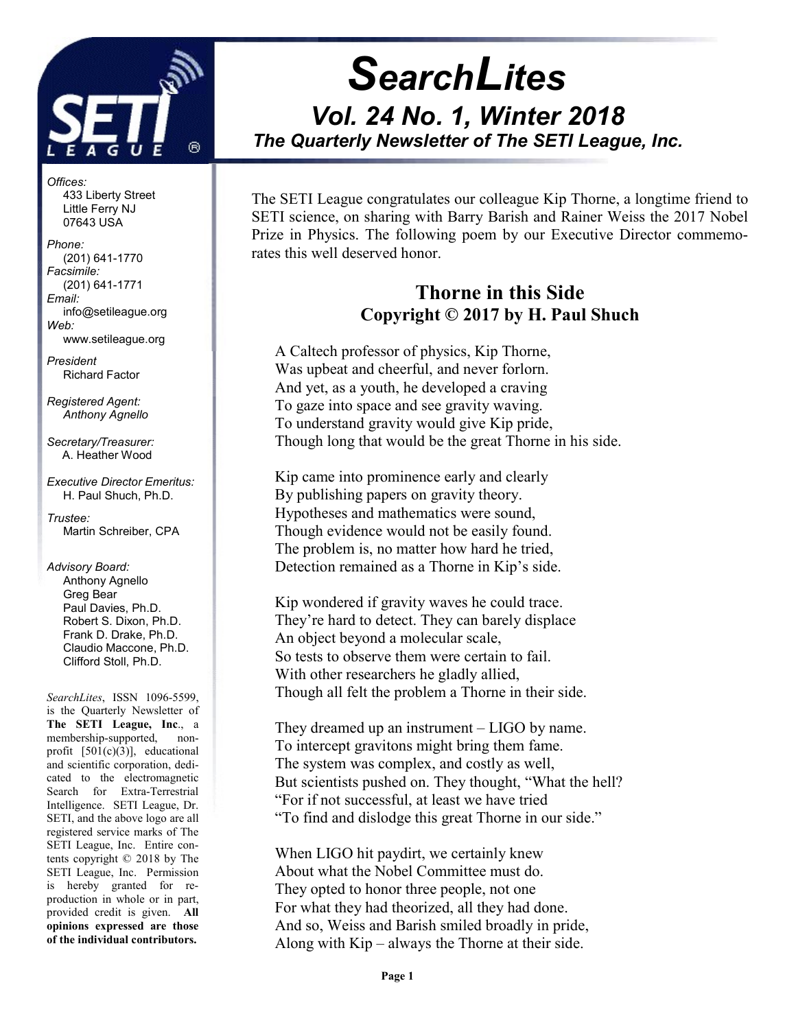

Offices: 433 Liberty Street Little Ferry NJ 07643 USA

Phone: (201) 641-1770 Facsimile: (201) 641-1771 Email: info@setileague.org Web: www.setileague.org

President Richard Factor

Registered Agent: Anthony Agnello

Secretary/Treasurer: A. Heather Wood

Executive Director Emeritus: H. Paul Shuch, Ph.D.

Trustee: Martin Schreiber, CPA

Advisory Board: Anthony Agnello Greg Bear Paul Davies, Ph.D. Robert S. Dixon, Ph.D. Frank D. Drake, Ph.D. Claudio Maccone, Ph.D. Clifford Stoll, Ph.D.

SearchLites, ISSN 1096-5599, is the Quarterly Newsletter of The SETI League, Inc., a membership-supported, nonprofit [501(c)(3)], educational and scientific corporation, dedicated to the electromagnetic Search for Extra-Terrestrial Intelligence. SETI League, Dr. SETI, and the above logo are all registered service marks of The SETI League, Inc. Entire contents copyright © 2018 by The SETI League, Inc. Permission is hereby granted for reproduction in whole or in part, provided credit is given. All opinions expressed are those of the individual contributors.

# **SearchLites** Vol. 24 No. 1, Winter 2018 The Quarterly Newsletter of The SETI League, Inc. j

The SETI League congratulates our colleague Kip Thorne, a longtime friend to SETI science, on sharing with Barry Barish and Rainer Weiss the 2017 Nobel Prize in Physics. The following poem by our Executive Director commemorates this well deserved honor.

## Thorne in this Side Copyright © 2017 by H. Paul Shuch

A Caltech professor of physics, Kip Thorne, Was upbeat and cheerful, and never forlorn. And yet, as a youth, he developed a craving To gaze into space and see gravity waving. To understand gravity would give Kip pride, Though long that would be the great Thorne in his side.

Kip came into prominence early and clearly By publishing papers on gravity theory. Hypotheses and mathematics were sound, Though evidence would not be easily found. The problem is, no matter how hard he tried, Detection remained as a Thorne in Kip's side.

Kip wondered if gravity waves he could trace. They're hard to detect. They can barely displace An object beyond a molecular scale, So tests to observe them were certain to fail. With other researchers he gladly allied, Though all felt the problem a Thorne in their side.

They dreamed up an instrument – LIGO by name. To intercept gravitons might bring them fame. The system was complex, and costly as well, But scientists pushed on. They thought, "What the hell? "For if not successful, at least we have tried "To find and dislodge this great Thorne in our side."

When LIGO hit paydirt, we certainly knew About what the Nobel Committee must do. They opted to honor three people, not one For what they had theorized, all they had done. And so, Weiss and Barish smiled broadly in pride, Along with Kip – always the Thorne at their side.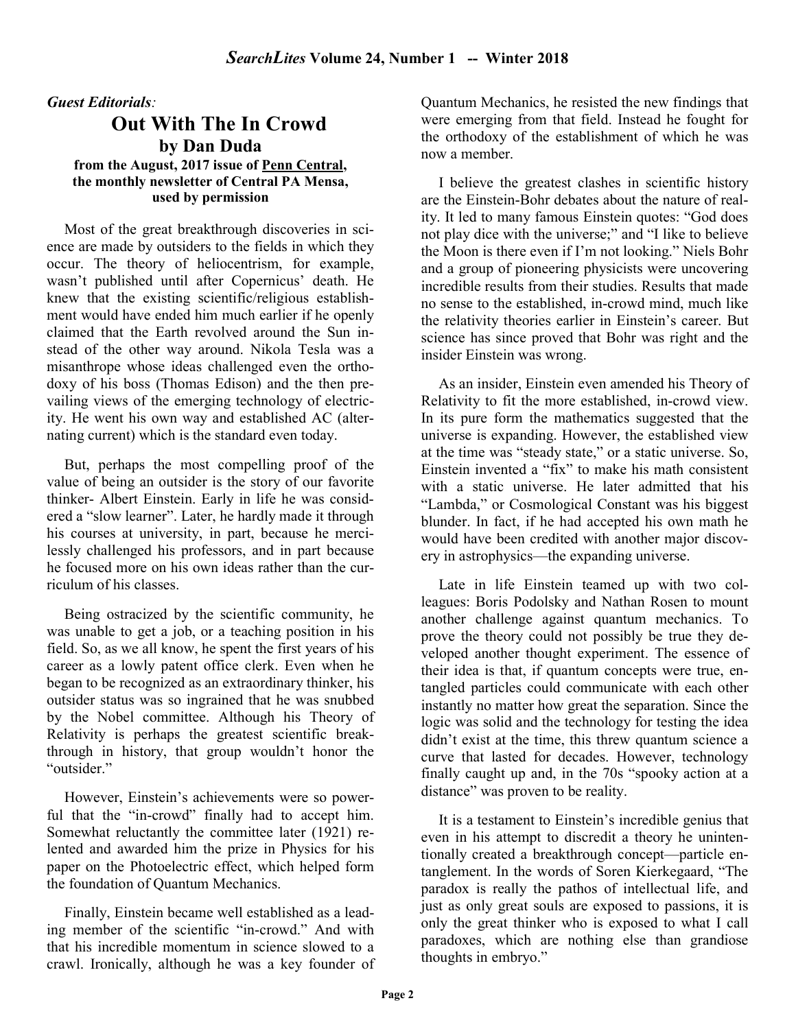## Guest Editorials:

## Out With The In Crowd by Dan Duda from the August, 2017 issue of Penn Central, the monthly newsletter of Central PA Mensa, used by permission

Most of the great breakthrough discoveries in science are made by outsiders to the fields in which they occur. The theory of heliocentrism, for example, wasn't published until after Copernicus' death. He knew that the existing scientific/religious establishment would have ended him much earlier if he openly claimed that the Earth revolved around the Sun instead of the other way around. Nikola Tesla was a misanthrope whose ideas challenged even the orthodoxy of his boss (Thomas Edison) and the then prevailing views of the emerging technology of electricity. He went his own way and established AC (alternating current) which is the standard even today.

But, perhaps the most compelling proof of the value of being an outsider is the story of our favorite thinker- Albert Einstein. Early in life he was considered a "slow learner". Later, he hardly made it through his courses at university, in part, because he mercilessly challenged his professors, and in part because he focused more on his own ideas rather than the curriculum of his classes.

Being ostracized by the scientific community, he was unable to get a job, or a teaching position in his field. So, as we all know, he spent the first years of his career as a lowly patent office clerk. Even when he began to be recognized as an extraordinary thinker, his outsider status was so ingrained that he was snubbed by the Nobel committee. Although his Theory of Relativity is perhaps the greatest scientific breakthrough in history, that group wouldn't honor the "outsider."

However, Einstein's achievements were so powerful that the "in-crowd" finally had to accept him. Somewhat reluctantly the committee later (1921) relented and awarded him the prize in Physics for his paper on the Photoelectric effect, which helped form the foundation of Quantum Mechanics.

Finally, Einstein became well established as a leading member of the scientific "in-crowd." And with that his incredible momentum in science slowed to a crawl. Ironically, although he was a key founder of Quantum Mechanics, he resisted the new findings that were emerging from that field. Instead he fought for the orthodoxy of the establishment of which he was now a member.

I believe the greatest clashes in scientific history are the Einstein-Bohr debates about the nature of reality. It led to many famous Einstein quotes: "God does not play dice with the universe;" and "I like to believe the Moon is there even if I'm not looking." Niels Bohr and a group of pioneering physicists were uncovering incredible results from their studies. Results that made no sense to the established, in-crowd mind, much like the relativity theories earlier in Einstein's career. But science has since proved that Bohr was right and the insider Einstein was wrong.

As an insider, Einstein even amended his Theory of Relativity to fit the more established, in-crowd view. In its pure form the mathematics suggested that the universe is expanding. However, the established view at the time was "steady state," or a static universe. So, Einstein invented a "fix" to make his math consistent with a static universe. He later admitted that his "Lambda," or Cosmological Constant was his biggest blunder. In fact, if he had accepted his own math he would have been credited with another major discovery in astrophysics—the expanding universe.

Late in life Einstein teamed up with two colleagues: Boris Podolsky and Nathan Rosen to mount another challenge against quantum mechanics. To prove the theory could not possibly be true they developed another thought experiment. The essence of their idea is that, if quantum concepts were true, entangled particles could communicate with each other instantly no matter how great the separation. Since the logic was solid and the technology for testing the idea didn't exist at the time, this threw quantum science a curve that lasted for decades. However, technology finally caught up and, in the 70s "spooky action at a distance" was proven to be reality.

It is a testament to Einstein's incredible genius that even in his attempt to discredit a theory he unintentionally created a breakthrough concept—particle entanglement. In the words of Soren Kierkegaard, "The paradox is really the pathos of intellectual life, and just as only great souls are exposed to passions, it is only the great thinker who is exposed to what I call paradoxes, which are nothing else than grandiose thoughts in embryo."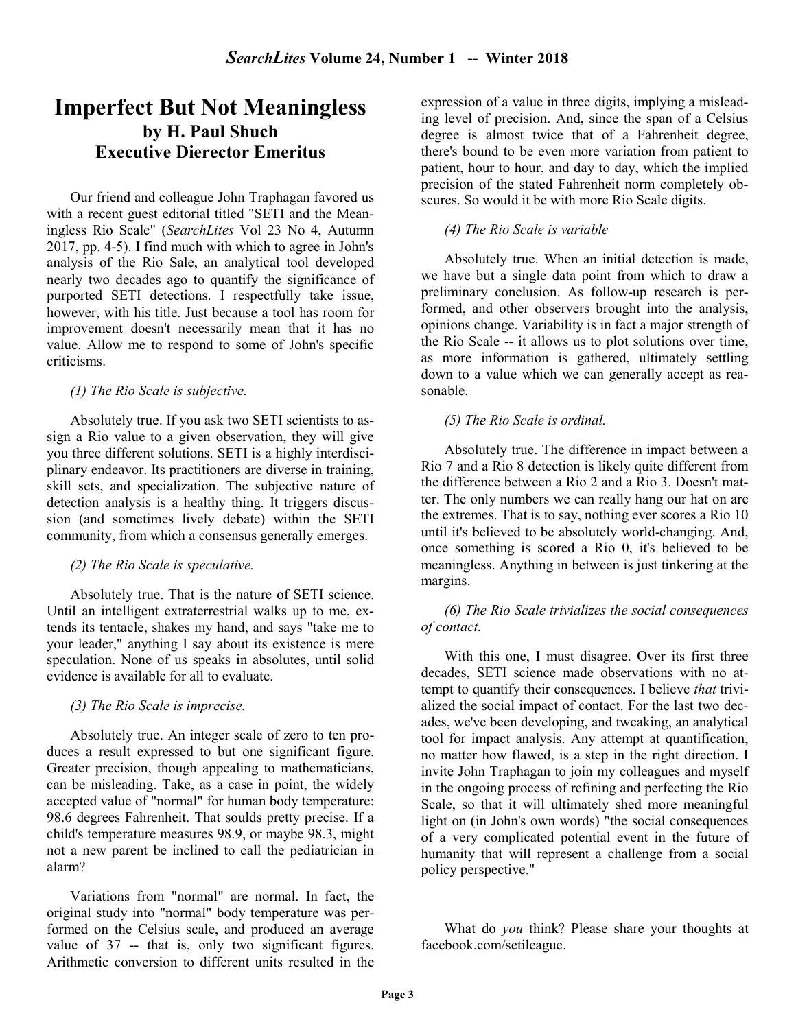## Imperfect But Not Meaningless by H. Paul Shuch Executive Dierector Emeritus

Our friend and colleague John Traphagan favored us with a recent guest editorial titled "SETI and the Meaningless Rio Scale" (SearchLites Vol 23 No 4, Autumn 2017, pp. 4-5). I find much with which to agree in John's analysis of the Rio Sale, an analytical tool developed nearly two decades ago to quantify the significance of purported SETI detections. I respectfully take issue, however, with his title. Just because a tool has room for improvement doesn't necessarily mean that it has no value. Allow me to respond to some of John's specific criticisms.

#### (1) The Rio Scale is subjective.

Absolutely true. If you ask two SETI scientists to assign a Rio value to a given observation, they will give you three different solutions. SETI is a highly interdisciplinary endeavor. Its practitioners are diverse in training, skill sets, and specialization. The subjective nature of detection analysis is a healthy thing. It triggers discussion (and sometimes lively debate) within the SETI community, from which a consensus generally emerges.

#### (2) The Rio Scale is speculative.

Absolutely true. That is the nature of SETI science. Until an intelligent extraterrestrial walks up to me, extends its tentacle, shakes my hand, and says "take me to your leader," anything I say about its existence is mere speculation. None of us speaks in absolutes, until solid evidence is available for all to evaluate.

#### (3) The Rio Scale is imprecise.

Absolutely true. An integer scale of zero to ten produces a result expressed to but one significant figure. Greater precision, though appealing to mathematicians, can be misleading. Take, as a case in point, the widely accepted value of "normal" for human body temperature: 98.6 degrees Fahrenheit. That soulds pretty precise. If a child's temperature measures 98.9, or maybe 98.3, might not a new parent be inclined to call the pediatrician in alarm?

Variations from "normal" are normal. In fact, the original study into "normal" body temperature was performed on the Celsius scale, and produced an average value of 37 -- that is, only two significant figures. Arithmetic conversion to different units resulted in the

expression of a value in three digits, implying a misleading level of precision. And, since the span of a Celsius degree is almost twice that of a Fahrenheit degree, there's bound to be even more variation from patient to patient, hour to hour, and day to day, which the implied precision of the stated Fahrenheit norm completely obscures. So would it be with more Rio Scale digits.

## (4) The Rio Scale is variable

Absolutely true. When an initial detection is made, we have but a single data point from which to draw a preliminary conclusion. As follow-up research is performed, and other observers brought into the analysis, opinions change. Variability is in fact a major strength of the Rio Scale -- it allows us to plot solutions over time, as more information is gathered, ultimately settling down to a value which we can generally accept as reasonable.

## (5) The Rio Scale is ordinal.

Absolutely true. The difference in impact between a Rio 7 and a Rio 8 detection is likely quite different from the difference between a Rio 2 and a Rio 3. Doesn't matter. The only numbers we can really hang our hat on are the extremes. That is to say, nothing ever scores a Rio 10 until it's believed to be absolutely world-changing. And, once something is scored a Rio 0, it's believed to be meaningless. Anything in between is just tinkering at the margins.

(6) The Rio Scale trivializes the social consequences of contact.

With this one, I must disagree. Over its first three decades, SETI science made observations with no attempt to quantify their consequences. I believe that trivialized the social impact of contact. For the last two decades, we've been developing, and tweaking, an analytical tool for impact analysis. Any attempt at quantification, no matter how flawed, is a step in the right direction. I invite John Traphagan to join my colleagues and myself in the ongoing process of refining and perfecting the Rio Scale, so that it will ultimately shed more meaningful light on (in John's own words) "the social consequences of a very complicated potential event in the future of humanity that will represent a challenge from a social policy perspective."

What do you think? Please share your thoughts at facebook.com/setileague.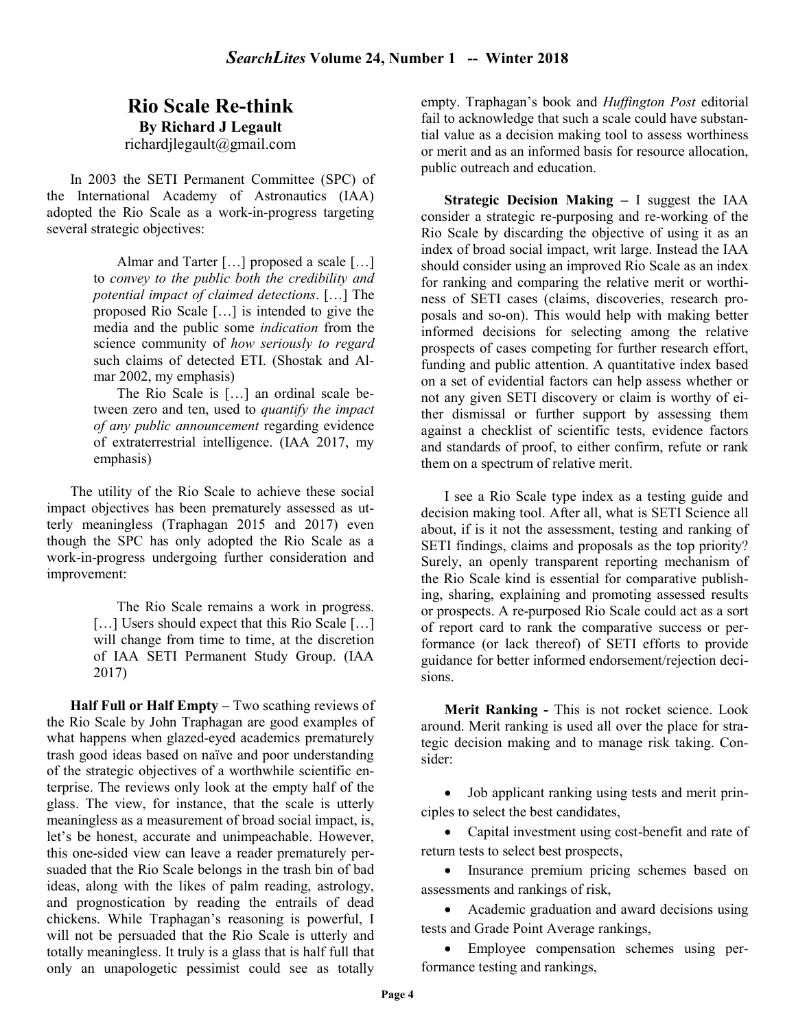## Rio Scale Re-think By Richard J Legault richardjlegault@gmail.com

In 2003 the SETI Permanent Committee (SPC) of the International Academy of Astronautics (IAA) adopted the Rio Scale as a work-in-progress targeting several strategic objectives:

> Almar and Tarter [...] proposed a scale [...] to convey to the public both the credibility and potential impact of claimed detections. […] The proposed Rio Scale […] is intended to give the media and the public some indication from the science community of how seriously to regard such claims of detected ETI. (Shostak and Almar 2002, my emphasis)

> The Rio Scale is […] an ordinal scale between zero and ten, used to *quantify the impact* of any public announcement regarding evidence of extraterrestrial intelligence. (IAA 2017, my emphasis)

The utility of the Rio Scale to achieve these social impact objectives has been prematurely assessed as utterly meaningless (Traphagan 2015 and 2017) even though the SPC has only adopted the Rio Scale as a work-in-progress undergoing further consideration and improvement:

> The Rio Scale remains a work in progress. [...] Users should expect that this Rio Scale [...] will change from time to time, at the discretion of IAA SETI Permanent Study Group. (IAA 2017)

Half Full or Half Empty – Two scathing reviews of the Rio Scale by John Traphagan are good examples of what happens when glazed-eyed academics prematurely trash good ideas based on naïve and poor understanding of the strategic objectives of a worthwhile scientific enterprise. The reviews only look at the empty half of the glass. The view, for instance, that the scale is utterly meaningless as a measurement of broad social impact, is, let's be honest, accurate and unimpeachable. However, this one-sided view can leave a reader prematurely persuaded that the Rio Scale belongs in the trash bin of bad ideas, along with the likes of palm reading, astrology, and prognostication by reading the entrails of dead chickens. While Traphagan's reasoning is powerful, I will not be persuaded that the Rio Scale is utterly and totally meaningless. It truly is a glass that is half full that only an unapologetic pessimist could see as totally

empty. Traphagan's book and Huffington Post editorial fail to acknowledge that such a scale could have substantial value as a decision making tool to assess worthiness or merit and as an informed basis for resource allocation, public outreach and education.

Strategic Decision Making – I suggest the IAA consider a strategic re-purposing and re-working of the Rio Scale by discarding the objective of using it as an index of broad social impact, writ large. Instead the IAA should consider using an improved Rio Scale as an index for ranking and comparing the relative merit or worthiness of SETI cases (claims, discoveries, research proposals and so-on). This would help with making better informed decisions for selecting among the relative prospects of cases competing for further research effort, funding and public attention. A quantitative index based on a set of evidential factors can help assess whether or not any given SETI discovery or claim is worthy of either dismissal or further support by assessing them against a checklist of scientific tests, evidence factors and standards of proof, to either confirm, refute or rank them on a spectrum of relative merit.

I see a Rio Scale type index as a testing guide and decision making tool. After all, what is SETI Science all about, if is it not the assessment, testing and ranking of SETI findings, claims and proposals as the top priority? Surely, an openly transparent reporting mechanism of the Rio Scale kind is essential for comparative publishing, sharing, explaining and promoting assessed results or prospects. A re-purposed Rio Scale could act as a sort of report card to rank the comparative success or performance (or lack thereof) of SETI efforts to provide guidance for better informed endorsement/rejection decisions.

Merit Ranking - This is not rocket science. Look around. Merit ranking is used all over the place for strategic decision making and to manage risk taking. Consider:

 Job applicant ranking using tests and merit principles to select the best candidates,

• Capital investment using cost-benefit and rate of return tests to select best prospects,

• Insurance premium pricing schemes based on assessments and rankings of risk,

 Academic graduation and award decisions using tests and Grade Point Average rankings,

 Employee compensation schemes using performance testing and rankings,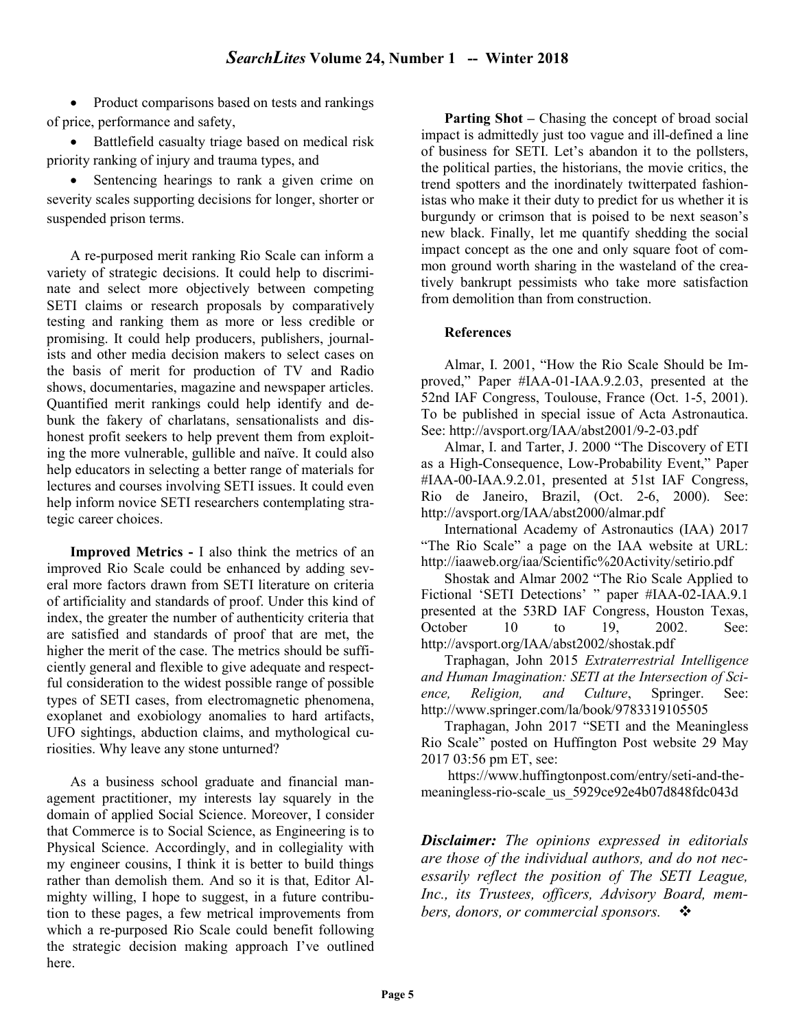• Product comparisons based on tests and rankings of price, performance and safety,

• Battlefield casualty triage based on medical risk priority ranking of injury and trauma types, and

• Sentencing hearings to rank a given crime on severity scales supporting decisions for longer, shorter or suspended prison terms.

A re-purposed merit ranking Rio Scale can inform a variety of strategic decisions. It could help to discriminate and select more objectively between competing SETI claims or research proposals by comparatively testing and ranking them as more or less credible or promising. It could help producers, publishers, journalists and other media decision makers to select cases on the basis of merit for production of TV and Radio shows, documentaries, magazine and newspaper articles. Quantified merit rankings could help identify and debunk the fakery of charlatans, sensationalists and dishonest profit seekers to help prevent them from exploiting the more vulnerable, gullible and naïve. It could also help educators in selecting a better range of materials for lectures and courses involving SETI issues. It could even help inform novice SETI researchers contemplating strategic career choices.

Improved Metrics - I also think the metrics of an improved Rio Scale could be enhanced by adding several more factors drawn from SETI literature on criteria of artificiality and standards of proof. Under this kind of index, the greater the number of authenticity criteria that are satisfied and standards of proof that are met, the higher the merit of the case. The metrics should be sufficiently general and flexible to give adequate and respectful consideration to the widest possible range of possible types of SETI cases, from electromagnetic phenomena, exoplanet and exobiology anomalies to hard artifacts, UFO sightings, abduction claims, and mythological curiosities. Why leave any stone unturned?

As a business school graduate and financial management practitioner, my interests lay squarely in the domain of applied Social Science. Moreover, I consider that Commerce is to Social Science, as Engineering is to Physical Science. Accordingly, and in collegiality with my engineer cousins, I think it is better to build things rather than demolish them. And so it is that, Editor Almighty willing, I hope to suggest, in a future contribution to these pages, a few metrical improvements from which a re-purposed Rio Scale could benefit following the strategic decision making approach I've outlined here.

Parting Shot – Chasing the concept of broad social impact is admittedly just too vague and ill-defined a line of business for SETI. Let's abandon it to the pollsters, the political parties, the historians, the movie critics, the trend spotters and the inordinately twitterpated fashionistas who make it their duty to predict for us whether it is burgundy or crimson that is poised to be next season's new black. Finally, let me quantify shedding the social impact concept as the one and only square foot of common ground worth sharing in the wasteland of the creatively bankrupt pessimists who take more satisfaction from demolition than from construction.

## References

Almar, I. 2001, "How the Rio Scale Should be Improved," Paper #IAA-01-IAA.9.2.03, presented at the 52nd IAF Congress, Toulouse, France (Oct. 1-5, 2001). To be published in special issue of Acta Astronautica. See: http://avsport.org/IAA/abst2001/9-2-03.pdf

Almar, I. and Tarter, J. 2000 "The Discovery of ETI as a High-Consequence, Low-Probability Event," Paper #IAA-00-IAA.9.2.01, presented at 51st IAF Congress, Rio de Janeiro, Brazil, (Oct. 2-6, 2000). See: http://avsport.org/IAA/abst2000/almar.pdf

International Academy of Astronautics (IAA) 2017 "The Rio Scale" a page on the IAA website at URL: http://iaaweb.org/iaa/Scientific%20Activity/setirio.pdf

Shostak and Almar 2002 "The Rio Scale Applied to Fictional 'SETI Detections' " paper #IAA-02-IAA.9.1 presented at the 53RD IAF Congress, Houston Texas, October 10 to 19, 2002. See: http://avsport.org/IAA/abst2002/shostak.pdf

Traphagan, John 2015 Extraterrestrial Intelligence and Human Imagination: SETI at the Intersection of Science, Religion, and Culture, Springer. See: http://www.springer.com/la/book/9783319105505

Traphagan, John 2017 "SETI and the Meaningless Rio Scale" posted on Huffington Post website 29 May 2017 03:56 pm ET, see:

 https://www.huffingtonpost.com/entry/seti-and-themeaningless-rio-scale\_us\_5929ce92e4b07d848fdc043d

**Disclaimer:** The opinions expressed in editorials are those of the individual authors, and do not necessarily reflect the position of The SETI League, Inc., its Trustees, officers, Advisory Board, members, donors, or commercial sponsors.  $\cdot \cdot \cdot$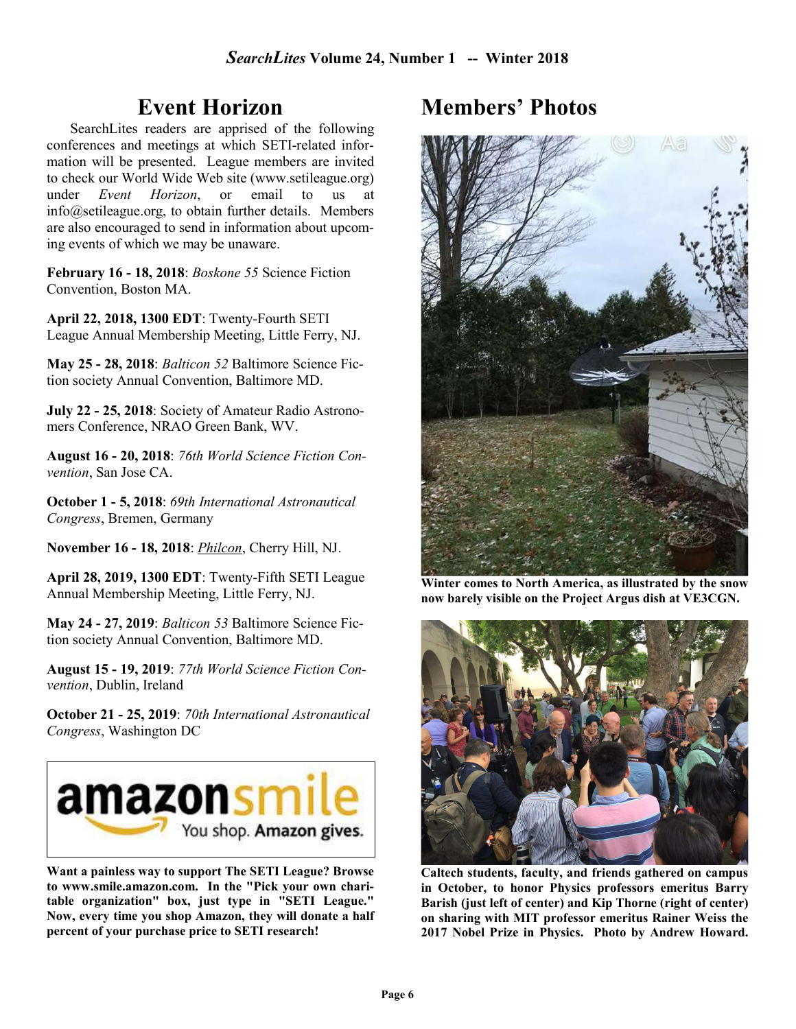## Event Horizon

SearchLites readers are apprised of the following conferences and meetings at which SETI-related information will be presented. League members are invited to check our World Wide Web site (www.setileague.org) under Event Horizon, or email to us at info@setileague.org, to obtain further details. Members are also encouraged to send in information about upcoming events of which we may be unaware.

February 16 - 18, 2018: Boskone 55 Science Fiction Convention, Boston MA.

April 22, 2018, 1300 EDT: Twenty-Fourth SETI League Annual Membership Meeting, Little Ferry, NJ.

May 25 - 28, 2018: Balticon 52 Baltimore Science Fiction society Annual Convention, Baltimore MD.

July 22 - 25, 2018: Society of Amateur Radio Astronomers Conference, NRAO Green Bank, WV.

August 16 - 20, 2018: 76th World Science Fiction Convention, San Jose CA.

October 1 - 5, 2018: 69th International Astronautical Congress, Bremen, Germany

November 16 - 18, 2018: Philcon, Cherry Hill, NJ.

April 28, 2019, 1300 EDT: Twenty-Fifth SETI League Annual Membership Meeting, Little Ferry, NJ.

May 24 - 27, 2019: Balticon 53 Baltimore Science Fiction society Annual Convention, Baltimore MD.

August 15 - 19, 2019: 77th World Science Fiction Convention, Dublin, Ireland

October 21 - 25, 2019: 70th International Astronautical Congress, Washington DC



Want a painless way to support The SETI League? Browse to www.smile.amazon.com. In the "Pick your own charitable organization" box, just type in "SETI League." Now, every time you shop Amazon, they will donate a half percent of your purchase price to SETI research!

## Members' Photos



Winter comes to North America, as illustrated by the snow now barely visible on the Project Argus dish at VE3CGN.



Caltech students, faculty, and friends gathered on campus in October, to honor Physics professors emeritus Barry Barish (just left of center) and Kip Thorne (right of center) on sharing with MIT professor emeritus Rainer Weiss the 2017 Nobel Prize in Physics. Photo by Andrew Howard.